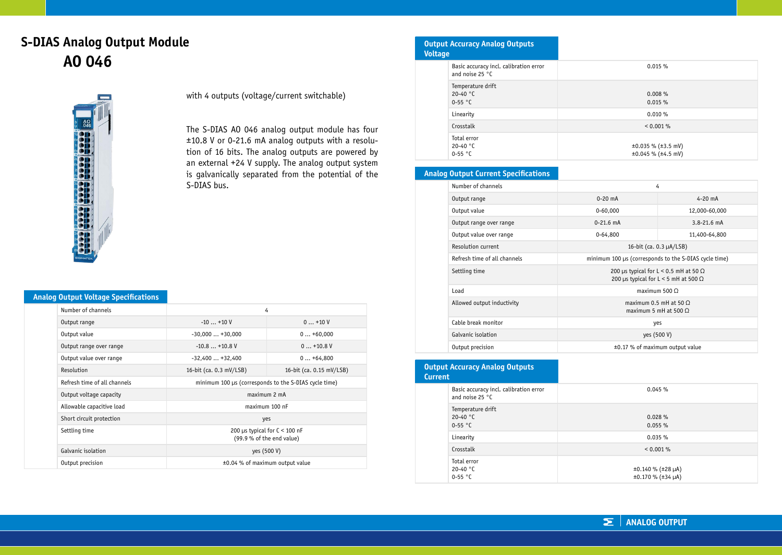# **S-DIAS Analog Output Module AO 046**



with 4 outputs (voltage/current switchable)

The S-DIAS AO 046 analog output module has four ±10.8 V or 0-21.6 mA analog outputs with a resolution of 16 bits. The analog outputs are powered by an external +24 V supply. The analog output system is galvanically separated from the potential of the S-DIAS bus.

### **Analog Output Voltage Specifications**

| Number of channels           | 4                                                            |  |  |
|------------------------------|--------------------------------------------------------------|--|--|
| Output range                 | $-10+10V$<br>$0+10V$                                         |  |  |
| Output value                 | $0+60,000$<br>$-30,000+30,000$                               |  |  |
| Output range over range      | $-10.8+10.8$ V<br>$0+10.8$ V                                 |  |  |
| Output value over range      | $-32,400+32,400$<br>$0+64,800$                               |  |  |
| Resolution                   | 16-bit (ca. 0.3 mV/LSB)<br>16-bit (ca. 0.15 mV/LSB)          |  |  |
| Refresh time of all channels | minimum 100 µs (corresponds to the S-DIAS cycle time)        |  |  |
| Output voltage capacity      | maximum 2 mA                                                 |  |  |
| Allowable capacitive load    | maximum 100 nF                                               |  |  |
| Short circuit protection     | yes                                                          |  |  |
| Settling time                | 200 µs typical for $C < 100$ nF<br>(99.9 % of the end value) |  |  |
| Galvanic isolation           | yes (500 V)                                                  |  |  |
| Output precision             | ±0.04 % of maximum output value                              |  |  |

| <b>Output Accuracy Analog Outputs</b><br><b>Voltage</b>     |                                                     |
|-------------------------------------------------------------|-----------------------------------------------------|
| Basic accuracy incl. calibration error<br>and noise $25 °C$ | 0.015%                                              |
| Temperature drift<br>20-40 $°C$<br>$0-55$ °C                | 0.008%<br>0.015%                                    |
| Linearity                                                   | 0.010%                                              |
| Crosstalk                                                   | < 0.001 %                                           |
| Total error<br>20-40 $°C$<br>$0-55$ °C                      | $\pm 0.035$ % ( $\pm 3.5$ mV)<br>±0.045 % (±4.5 mV) |

# **Analog Output Current Specifications**

| Number of channels           | 4                                                                                             |                 |  |
|------------------------------|-----------------------------------------------------------------------------------------------|-----------------|--|
| Output range                 | $0-20$ mA                                                                                     | $4 - 20$ mA     |  |
| Output value                 | $0 - 60,000$                                                                                  | 12,000-60,000   |  |
| Output range over range      | $0 - 21.6$ mA                                                                                 | $3.8 - 21.6$ mA |  |
| Output value over range      | $0 - 64.800$                                                                                  | 11,400-64,800   |  |
| Resolution current           | 16-bit (ca. $0.3 \mu A / LSB$ )                                                               |                 |  |
| Refresh time of all channels | minimum 100 µs (corresponds to the S-DIAS cycle time)                                         |                 |  |
| Settling time                | 200 µs typical for L < 0.5 mH at 50 $\Omega$<br>200 µs typical for $L < 5$ mH at 500 $\Omega$ |                 |  |
| Load                         | maximum $500 \Omega$                                                                          |                 |  |
| Allowed output inductivity   | maximum $0.5$ mH at $50$ O<br>maximum 5 mH at 500 $\Omega$                                    |                 |  |
| Cable break monitor          | yes                                                                                           |                 |  |
| Galvanic isolation           | yes (500 V)                                                                                   |                 |  |
| Output precision             | ±0.17 % of maximum output value                                                               |                 |  |

### **Output Accuracy Analog Outputs**

| <b>Current</b> |                                                           |                                                   |
|----------------|-----------------------------------------------------------|---------------------------------------------------|
|                | Basic accuracy incl. calibration error<br>and noise 25 °C | 0.045%                                            |
|                | Temperature drift<br>20-40 $°C$<br>$0-55$ °C              | 0.028%<br>0.055%                                  |
|                | Linearity                                                 | 0.035%                                            |
|                | Crosstalk                                                 | < 0.001 %                                         |
|                | Total error<br>20-40 $^{\circ}$ C<br>$0-55$ °C            | $\pm 0.140$ % ( $\pm 28$ µA)<br>±0.170 % (±34 µA) |